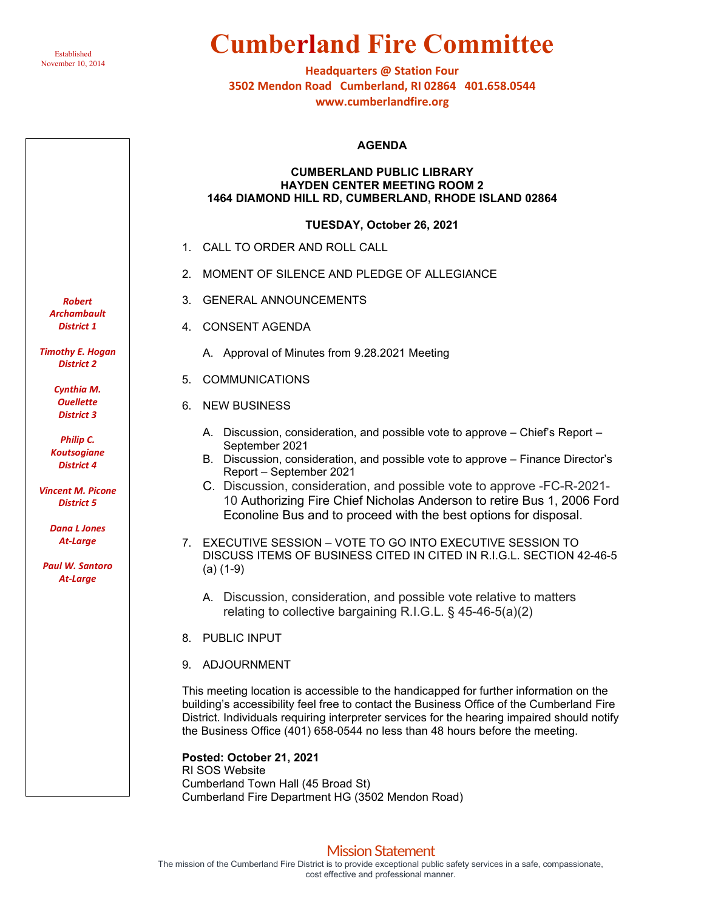

## **Cumberland Fire Committee**

**Headquarters @ Station Four 3502 Mendon Road Cumberland, RI 02864 401.658.0544 www.cumberlandfire.org**

#### **AGENDA**

### **CUMBERLAND PUBLIC LIBRARY HAYDEN CENTER MEETING ROOM 2 1464 DIAMOND HILL RD, CUMBERLAND, RHODE ISLAND 02864**

### **TUESDAY, October 26, 2021**

- 1. CALL TO ORDER AND ROLL CALL
- 2. MOMENT OF SILENCE AND PLEDGE OF ALLEGIANCE
- 3. GENERAL ANNOUNCEMENTS
- 4. CONSENT AGENDA
	- A. Approval of Minutes from 9.28.2021 Meeting
- 5. COMMUNICATIONS
- 6. NEW BUSINESS
	- A. Discussion, consideration, and possible vote to approve Chief's Report September 2021
	- B. Discussion, consideration, and possible vote to approve Finance Director's Report – September 2021
	- C. Discussion, consideration, and possible vote to approve -FC-R-2021- 10 Authorizing Fire Chief Nicholas Anderson to retire Bus 1, 2006 Ford Econoline Bus and to proceed with the best options for disposal.
- 7. EXECUTIVE SESSION VOTE TO GO INTO EXECUTIVE SESSION TO DISCUSS ITEMS OF BUSINESS CITED IN CITED IN R.I.G.L. SECTION 42-46-5 (a) (1-9)
	- A. Discussion, consideration, and possible vote relative to matters relating to collective bargaining R.I.G.L. § 45-46-5(a)(2)
- 8. PUBLIC INPUT
- 9. ADJOURNMENT

This meeting location is accessible to the handicapped for further information on the building's accessibility feel free to contact the Business Office of the Cumberland Fire District. Individuals requiring interpreter services for the hearing impaired should notify the Business Office (401) 658-0544 no less than 48 hours before the meeting.

**Posted: October 21, 2021** RI SOS Website Cumberland Town Hall (45 Broad St) Cumberland Fire Department HG (3502 Mendon Road)

## Mission Statement

*Robert Archambault District 1*

*Timothy E. Hogan District 2*

> *Cynthia M. Ouellette District 3*

*Philip C. Koutsogiane District 4*

*Vincent M. Picone District 5*

> *Dana L Jones At-Large*

*Paul W. Santoro At-Large*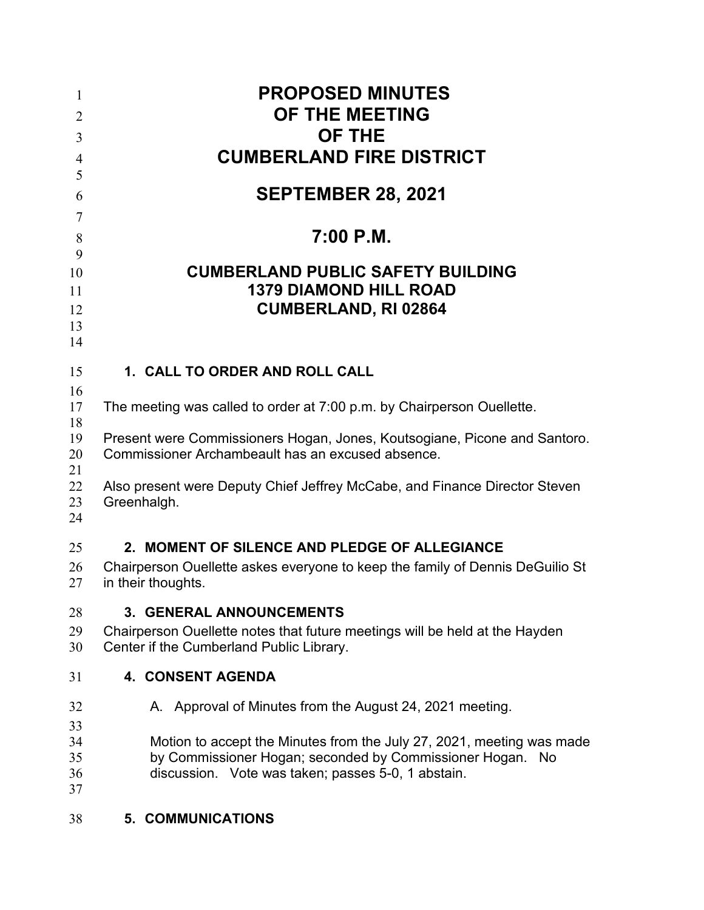| 1<br>$\overline{2}$<br>3<br>$\overline{4}$                  | <b>PROPOSED MINUTES</b><br>OF THE MEETING<br><b>OF THE</b><br><b>CUMBERLAND FIRE DISTRICT</b>                                                                                            |  |  |  |  |
|-------------------------------------------------------------|------------------------------------------------------------------------------------------------------------------------------------------------------------------------------------------|--|--|--|--|
| 5<br>6                                                      | <b>SEPTEMBER 28, 2021</b>                                                                                                                                                                |  |  |  |  |
| $\tau$<br>$8\phantom{1}$<br>9<br>10<br>11<br>12<br>13<br>14 | $7:00$ P.M.<br><b>CUMBERLAND PUBLIC SAFETY BUILDING</b><br><b>1379 DIAMOND HILL ROAD</b><br><b>CUMBERLAND, RI 02864</b>                                                                  |  |  |  |  |
| 15                                                          | 1. CALL TO ORDER AND ROLL CALL                                                                                                                                                           |  |  |  |  |
| 16<br>17                                                    | The meeting was called to order at 7:00 p.m. by Chairperson Ouellette.                                                                                                                   |  |  |  |  |
| 18<br>19<br>20                                              | Present were Commissioners Hogan, Jones, Koutsogiane, Picone and Santoro.<br>Commissioner Archambeault has an excused absence.                                                           |  |  |  |  |
| 21<br>22<br>23<br>24                                        | Also present were Deputy Chief Jeffrey McCabe, and Finance Director Steven<br>Greenhalgh.                                                                                                |  |  |  |  |
| 25<br>26<br>27                                              | 2. MOMENT OF SILENCE AND PLEDGE OF ALLEGIANCE<br>Chairperson Ouellette askes everyone to keep the family of Dennis DeGuilio St<br>in their thoughts.                                     |  |  |  |  |
| 28                                                          | 3. GENERAL ANNOUNCEMENTS                                                                                                                                                                 |  |  |  |  |
| 29<br>30                                                    | Chairperson Ouellette notes that future meetings will be held at the Hayden<br>Center if the Cumberland Public Library.                                                                  |  |  |  |  |
| 31                                                          | <b>4. CONSENT AGENDA</b>                                                                                                                                                                 |  |  |  |  |
| 32                                                          | A. Approval of Minutes from the August 24, 2021 meeting.                                                                                                                                 |  |  |  |  |
| 33<br>34<br>35<br>36<br>37                                  | Motion to accept the Minutes from the July 27, 2021, meeting was made<br>by Commissioner Hogan; seconded by Commissioner Hogan. No<br>discussion. Vote was taken; passes 5-0, 1 abstain. |  |  |  |  |
| 38                                                          | <b>5. COMMUNICATIONS</b>                                                                                                                                                                 |  |  |  |  |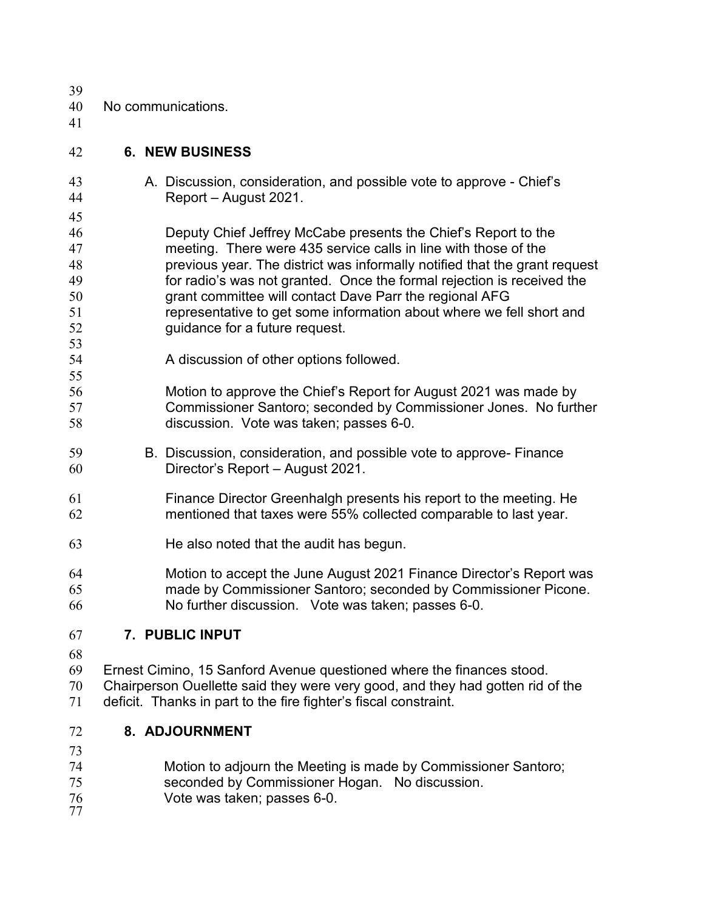| 39       |                                                                                                                                                      |
|----------|------------------------------------------------------------------------------------------------------------------------------------------------------|
| 40<br>41 | No communications.                                                                                                                                   |
| 42       | <b>6. NEW BUSINESS</b>                                                                                                                               |
| 43<br>44 | A. Discussion, consideration, and possible vote to approve - Chief's<br>Report - August 2021.                                                        |
| 45       |                                                                                                                                                      |
| 46       | Deputy Chief Jeffrey McCabe presents the Chief's Report to the                                                                                       |
| 47       | meeting. There were 435 service calls in line with those of the                                                                                      |
| 48<br>49 | previous year. The district was informally notified that the grant request<br>for radio's was not granted. Once the formal rejection is received the |
| 50       | grant committee will contact Dave Parr the regional AFG                                                                                              |
| 51       | representative to get some information about where we fell short and                                                                                 |
| 52       | guidance for a future request.                                                                                                                       |
| 53       |                                                                                                                                                      |
| 54       | A discussion of other options followed.                                                                                                              |
| 55       |                                                                                                                                                      |
| 56       | Motion to approve the Chief's Report for August 2021 was made by                                                                                     |
| 57<br>58 | Commissioner Santoro; seconded by Commissioner Jones. No further<br>discussion. Vote was taken; passes 6-0.                                          |
| 59       | B. Discussion, consideration, and possible vote to approve- Finance                                                                                  |
| 60       | Director's Report - August 2021.                                                                                                                     |
| 61       | Finance Director Greenhalgh presents his report to the meeting. He                                                                                   |
| 62       | mentioned that taxes were 55% collected comparable to last year.                                                                                     |
| 63       | He also noted that the audit has begun.                                                                                                              |
| 64       | Motion to accept the June August 2021 Finance Director's Report was                                                                                  |
| 65       | made by Commissioner Santoro; seconded by Commissioner Picone.                                                                                       |
| 66       | No further discussion. Vote was taken; passes 6-0.                                                                                                   |
| 67       | 7. PUBLIC INPUT                                                                                                                                      |
| 68       |                                                                                                                                                      |
| 69       | Ernest Cimino, 15 Sanford Avenue questioned where the finances stood.                                                                                |
| 70       | Chairperson Ouellette said they were very good, and they had gotten rid of the                                                                       |
| 71       | deficit. Thanks in part to the fire fighter's fiscal constraint.                                                                                     |
| 72       | 8. ADJOURNMENT                                                                                                                                       |
| 73       |                                                                                                                                                      |
| 74       | Motion to adjourn the Meeting is made by Commissioner Santoro;                                                                                       |

- seconded by Commissioner Hogan. No discussion.
- Vote was taken; passes 6-0. 77
-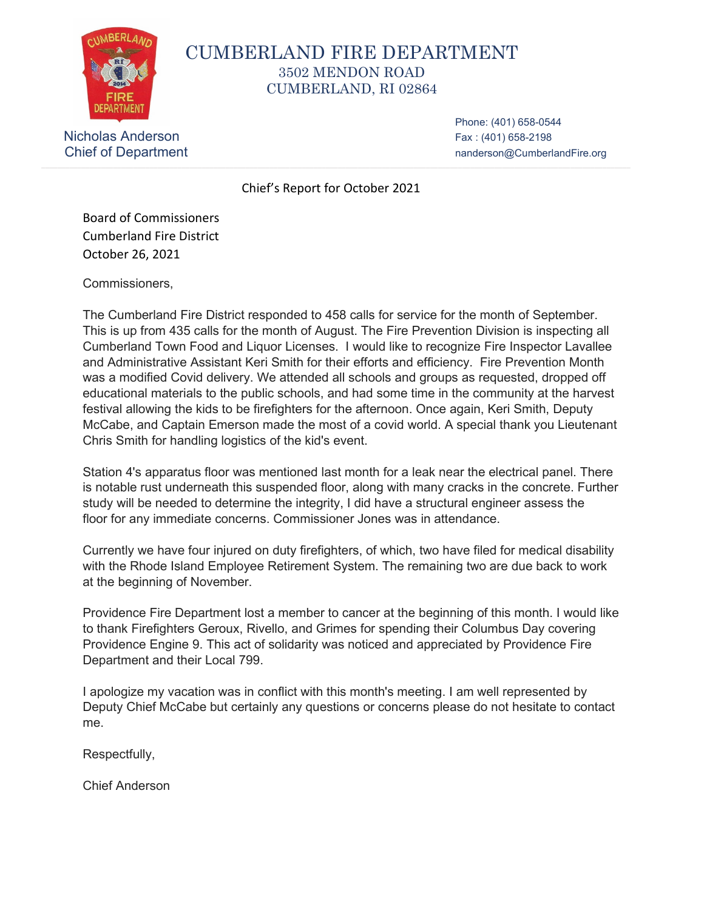

## CUMBERLAND FIRE DEPARTMENT 3502 MENDON ROAD CUMBERLAND, RI 02864

Nicholas Anderson Fax : (401) 658-2198

Phone: (401) 658-0544 Chief of Department nanderson@CumberlandFire.org

Chief's Report for October 2021

Board of Commissioners Cumberland Fire District October 26, 2021

Commissioners,

The Cumberland Fire District responded to 458 calls for service for the month of September. This is up from 435 calls for the month of August. The Fire Prevention Division is inspecting all Cumberland Town Food and Liquor Licenses. I would like to recognize Fire Inspector Lavallee and Administrative Assistant Keri Smith for their efforts and efficiency. Fire Prevention Month was a modified Covid delivery. We attended all schools and groups as requested, dropped off educational materials to the public schools, and had some time in the community at the harvest festival allowing the kids to be firefighters for the afternoon. Once again, Keri Smith, Deputy McCabe, and Captain Emerson made the most of a covid world. A special thank you Lieutenant Chris Smith for handling logistics of the kid's event.

Station 4's apparatus floor was mentioned last month for a leak near the electrical panel. There is notable rust underneath this suspended floor, along with many cracks in the concrete. Further study will be needed to determine the integrity, I did have a structural engineer assess the floor for any immediate concerns. Commissioner Jones was in attendance.

Currently we have four injured on duty firefighters, of which, two have filed for medical disability with the Rhode Island Employee Retirement System. The remaining two are due back to work at the beginning of November.

Providence Fire Department lost a member to cancer at the beginning of this month. I would like to thank Firefighters Geroux, Rivello, and Grimes for spending their Columbus Day covering Providence Engine 9. This act of solidarity was noticed and appreciated by Providence Fire Department and their Local 799.

I apologize my vacation was in conflict with this month's meeting. I am well represented by Deputy Chief McCabe but certainly any questions or concerns please do not hesitate to contact me.

Respectfully,

Chief Anderson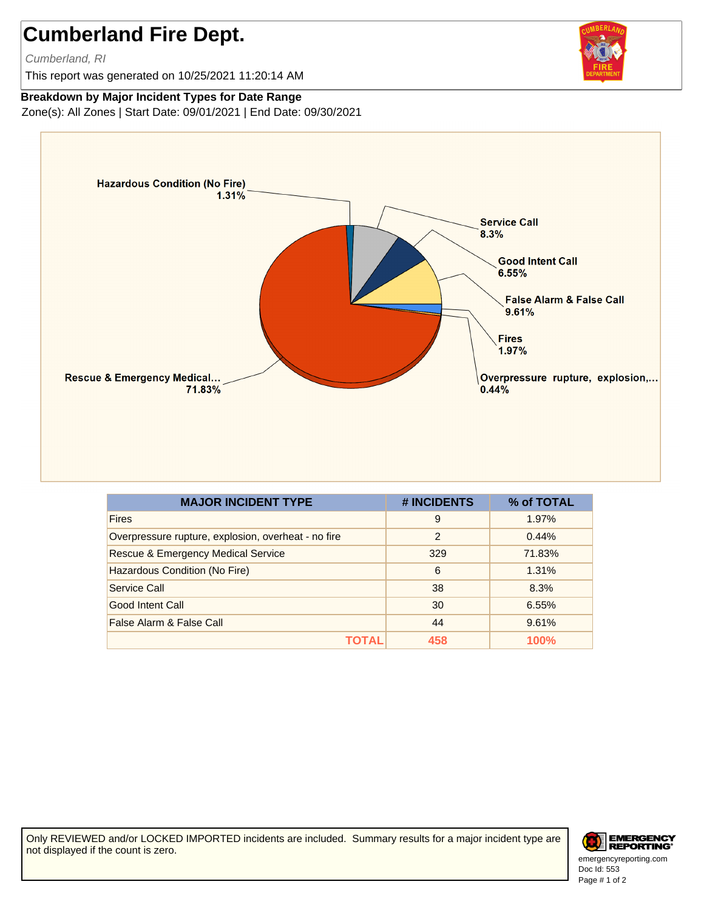## **Cumberland Fire Dept.**

Cumberland, RI

This report was generated on 10/25/2021 11:20:14 AM

## **Breakdown by Major Incident Types for Date Range**

Zone(s): All Zones | Start Date: 09/01/2021 | End Date: 09/30/2021



| <b>MAJOR INCIDENT TYPE</b>                          | # INCIDENTS    | % of TOTAL |
|-----------------------------------------------------|----------------|------------|
| <b>Fires</b>                                        | 9              | 1.97%      |
| Overpressure rupture, explosion, overheat - no fire | $\overline{2}$ | 0.44%      |
| <b>Rescue &amp; Emergency Medical Service</b>       | 329            | 71.83%     |
| Hazardous Condition (No Fire)                       | 6              | 1.31%      |
| Service Call                                        | 38             | 8.3%       |
| Good Intent Call                                    | 30             | 6.55%      |
| False Alarm & False Call                            | 44             | 9.61%      |
| ΤΩΤΑ                                                | 458            | 100%       |

Only REVIEWED and/or LOCKED IMPORTED incidents are included. Summary results for a major incident type are not displayed if the count is zero.



Doc Id: 553 emergencyreporting.com Page # 1 of 2

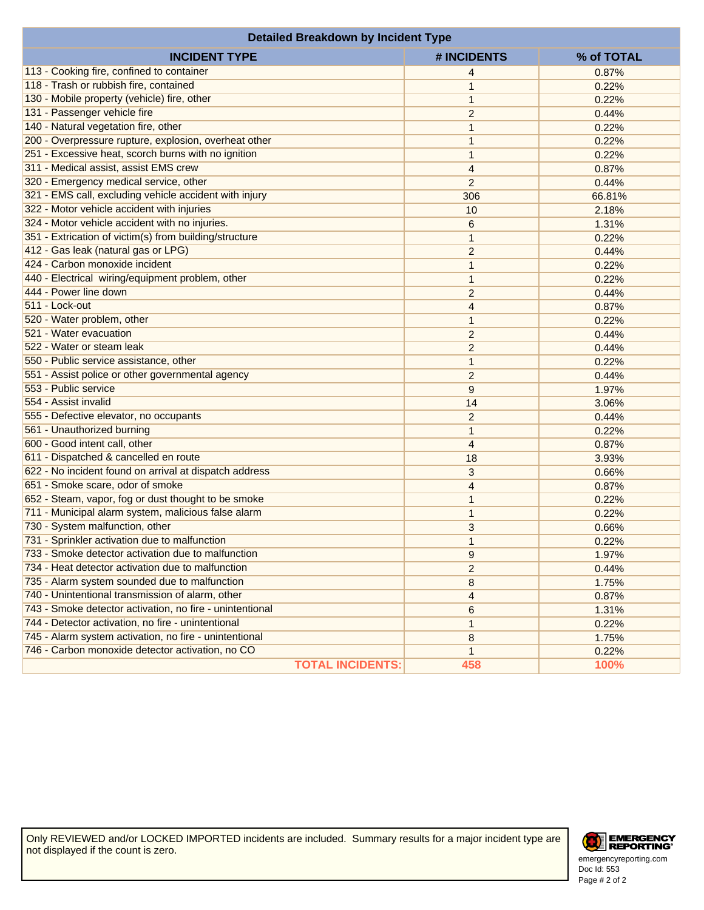| <b>Detailed Breakdown by Incident Type</b>               |                |            |  |  |  |
|----------------------------------------------------------|----------------|------------|--|--|--|
| <b>INCIDENT TYPE</b>                                     | # INCIDENTS    | % of TOTAL |  |  |  |
| 113 - Cooking fire, confined to container                | 4              | 0.87%      |  |  |  |
| 118 - Trash or rubbish fire, contained                   | 1              | 0.22%      |  |  |  |
| 130 - Mobile property (vehicle) fire, other              | $\mathbf{1}$   | 0.22%      |  |  |  |
| 131 - Passenger vehicle fire                             | 2              | 0.44%      |  |  |  |
| 140 - Natural vegetation fire, other                     | 1              | 0.22%      |  |  |  |
| 200 - Overpressure rupture, explosion, overheat other    | 1              | 0.22%      |  |  |  |
| 251 - Excessive heat, scorch burns with no ignition      | $\mathbf{1}$   | 0.22%      |  |  |  |
| 311 - Medical assist, assist EMS crew                    | 4              | 0.87%      |  |  |  |
| 320 - Emergency medical service, other                   | $\overline{2}$ | 0.44%      |  |  |  |
| 321 - EMS call, excluding vehicle accident with injury   | 306            | 66.81%     |  |  |  |
| 322 - Motor vehicle accident with injuries               | 10             | 2.18%      |  |  |  |
| 324 - Motor vehicle accident with no injuries.           | 6              | 1.31%      |  |  |  |
| 351 - Extrication of victim(s) from building/structure   | 1              | 0.22%      |  |  |  |
| 412 - Gas leak (natural gas or LPG)                      | 2              | 0.44%      |  |  |  |
| 424 - Carbon monoxide incident                           | 1              | 0.22%      |  |  |  |
| 440 - Electrical wiring/equipment problem, other         | 1              | 0.22%      |  |  |  |
| 444 - Power line down                                    | 2              | 0.44%      |  |  |  |
| 511 - Lock-out                                           | 4              | 0.87%      |  |  |  |
| 520 - Water problem, other                               | 1              | 0.22%      |  |  |  |
| 521 - Water evacuation                                   | 2              | 0.44%      |  |  |  |
| 522 - Water or steam leak                                | 2              | 0.44%      |  |  |  |
| 550 - Public service assistance, other                   | 1              | 0.22%      |  |  |  |
| 551 - Assist police or other governmental agency         | 2              | 0.44%      |  |  |  |
| 553 - Public service                                     | 9              | 1.97%      |  |  |  |
| 554 - Assist invalid                                     | 14             | 3.06%      |  |  |  |
| 555 - Defective elevator, no occupants                   | $\overline{2}$ | 0.44%      |  |  |  |
| 561 - Unauthorized burning                               | 1              | 0.22%      |  |  |  |
| 600 - Good intent call, other                            | 4              | 0.87%      |  |  |  |
| 611 - Dispatched & cancelled en route                    | 18             | 3.93%      |  |  |  |
| 622 - No incident found on arrival at dispatch address   | 3              | 0.66%      |  |  |  |
| 651 - Smoke scare, odor of smoke                         | 4              | 0.87%      |  |  |  |
| 652 - Steam, vapor, fog or dust thought to be smoke      | 1              | 0.22%      |  |  |  |
| 711 - Municipal alarm system, malicious false alarm      | 1              | 0.22%      |  |  |  |
| 730 - System malfunction, other                          | 3              | 0.66%      |  |  |  |
| 731 - Sprinkler activation due to malfunction            | 1              | 0.22%      |  |  |  |
| 733 - Smoke detector activation due to malfunction       | 9              | 1.97%      |  |  |  |
| 734 - Heat detector activation due to malfunction        | 2              | 0.44%      |  |  |  |
| 735 - Alarm system sounded due to malfunction            | 8              | 1.75%      |  |  |  |
| 740 - Unintentional transmission of alarm, other         | 4              | 0.87%      |  |  |  |
| 743 - Smoke detector activation, no fire - unintentional | 6              | 1.31%      |  |  |  |
| 744 - Detector activation, no fire - unintentional       | 1              | 0.22%      |  |  |  |
| 745 - Alarm system activation, no fire - unintentional   | 8              | 1.75%      |  |  |  |
| 746 - Carbon monoxide detector activation, no CO         | 1              | 0.22%      |  |  |  |
| <b>TOTAL INCIDENTS:</b>                                  | 458            | 100%       |  |  |  |

Only REVIEWED and/or LOCKED IMPORTED incidents are included. Summary results for a major incident type are not displayed if the count is zero.



Doc Id: 553 emergencyreporting.com Page # 2 of 2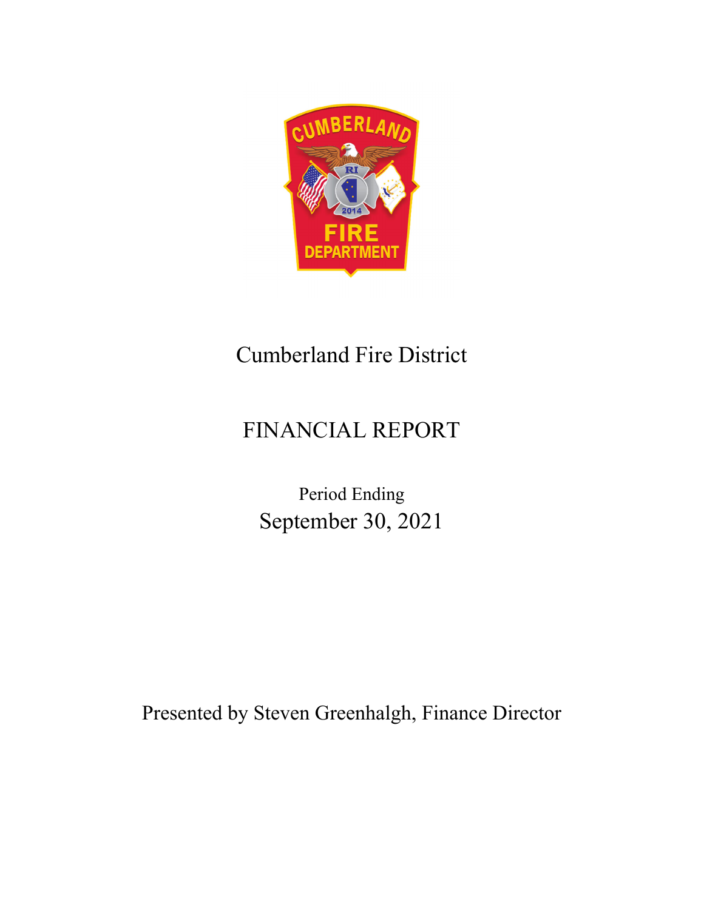

## Cumberland Fire District

# FINANCIAL REPORT

Period Ending September 30, 2021

Presented by Steven Greenhalgh, Finance Director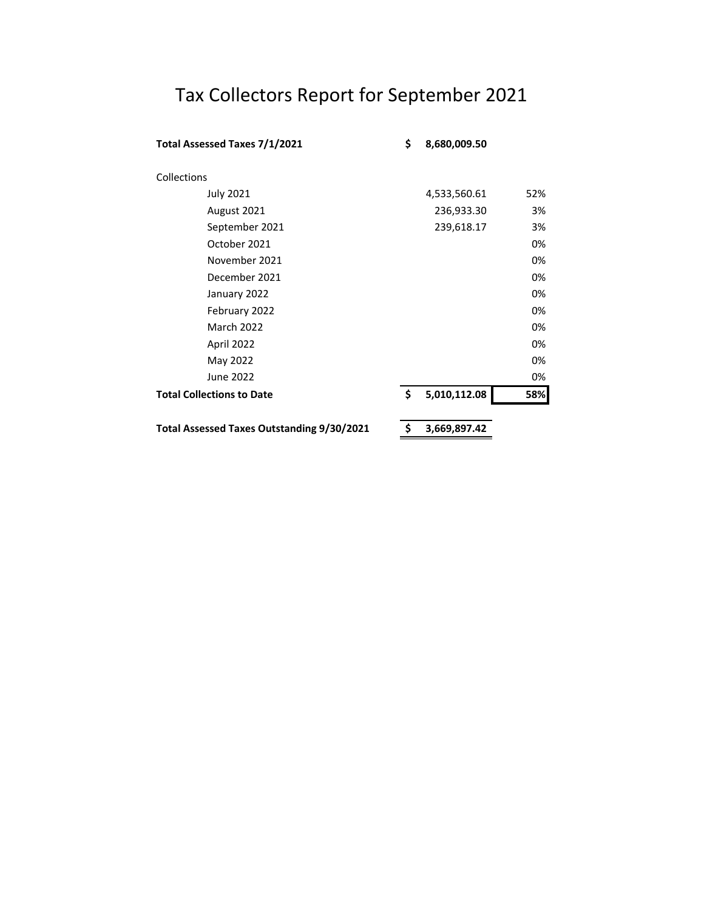# Tax Collectors Report for September 2021

| Total Assessed Taxes 7/1/2021                     | \$<br>8,680,009.50 |     |
|---------------------------------------------------|--------------------|-----|
| Collections                                       |                    |     |
| <b>July 2021</b>                                  | 4,533,560.61       | 52% |
| August 2021                                       | 236,933.30         | 3%  |
| September 2021                                    | 239,618.17         | 3%  |
| October 2021                                      |                    | 0%  |
| November 2021                                     |                    | 0%  |
| December 2021                                     |                    | 0%  |
| January 2022                                      |                    | 0%  |
| February 2022                                     |                    | 0%  |
| <b>March 2022</b>                                 |                    | 0%  |
| April 2022                                        |                    | 0%  |
| May 2022                                          |                    | 0%  |
| June 2022                                         |                    | 0%  |
| <b>Total Collections to Date</b>                  | \$<br>5,010,112.08 | 58% |
| <b>Total Assessed Taxes Outstanding 9/30/2021</b> | 3,669,897.42       |     |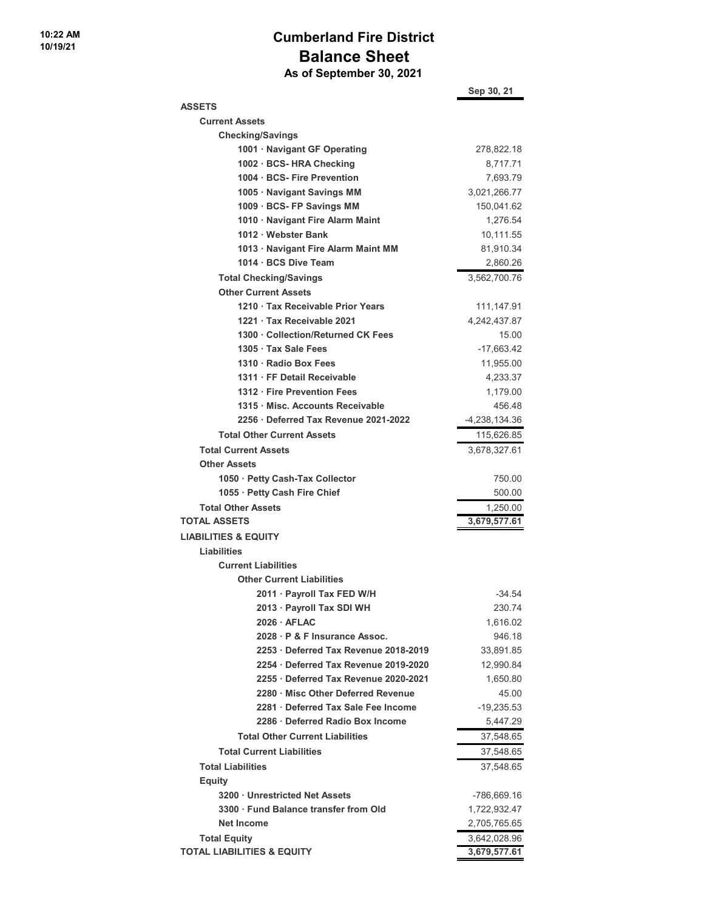## **Cumberland Fire District Balance Sheet As of September 30, 2021**

|                                        | Sep 30, 21    |
|----------------------------------------|---------------|
| <b>ASSETS</b>                          |               |
| <b>Current Assets</b>                  |               |
| <b>Checking/Savings</b>                |               |
| 1001 · Navigant GF Operating           | 278,822.18    |
| 1002 · BCS- HRA Checking               | 8,717.71      |
| 1004 BCS- Fire Prevention              | 7,693.79      |
| 1005 · Navigant Savings MM             | 3,021,266.77  |
| 1009 · BCS- FP Savings MM              | 150,041.62    |
| 1010 · Navigant Fire Alarm Maint       | 1,276.54      |
| 1012 · Webster Bank                    | 10,111.55     |
| 1013 · Navigant Fire Alarm Maint MM    | 81,910.34     |
| 1014 · BCS Dive Team                   | 2,860.26      |
| <b>Total Checking/Savings</b>          | 3,562,700.76  |
| <b>Other Current Assets</b>            |               |
| 1210 Tax Receivable Prior Years        | 111,147.91    |
| 1221 · Tax Receivable 2021             | 4,242,437.87  |
| 1300 · Collection/Returned CK Fees     | 15.00         |
| 1305 · Tax Sale Fees                   | -17,663.42    |
| 1310 · Radio Box Fees                  | 11,955.00     |
| 1311 · FF Detail Receivable            | 4,233.37      |
| 1312 · Fire Prevention Fees            | 1,179.00      |
| 1315 Misc. Accounts Receivable         | 456.48        |
| 2256 Deferred Tax Revenue 2021-2022    | -4,238,134.36 |
| <b>Total Other Current Assets</b>      | 115,626.85    |
| <b>Total Current Assets</b>            | 3,678,327.61  |
| <b>Other Assets</b>                    |               |
| 1050 · Petty Cash-Tax Collector        | 750.00        |
| 1055 · Petty Cash Fire Chief           | 500.00        |
| <b>Total Other Assets</b>              | 1,250.00      |
| <b>TOTAL ASSETS</b>                    | 3,679,577.61  |
| <b>LIABILITIES &amp; EQUITY</b>        |               |
| Liabilities                            |               |
| <b>Current Liabilities</b>             |               |
| <b>Other Current Liabilities</b>       |               |
| 2011 · Payroll Tax FED W/H             | $-34.54$      |
| 2013 · Payroll Tax SDI WH              | 230.74        |
| $2026 \cdot AFLAC$                     | 1,616.02      |
| 2028 P & F Insurance Assoc.            | 946.18        |
| 2253 Deferred Tax Revenue 2018-2019    | 33.891.85     |
| 2254 Deferred Tax Revenue 2019-2020    | 12,990.84     |
| 2255 Deferred Tax Revenue 2020-2021    | 1,650.80      |
| 2280 Misc Other Deferred Revenue       | 45.00         |
| 2281 Deferred Tax Sale Fee Income      | -19,235.53    |
| 2286 Deferred Radio Box Income         | 5,447.29      |
| <b>Total Other Current Liabilities</b> | 37,548.65     |
| <b>Total Current Liabilities</b>       | 37,548.65     |
| <b>Total Liabilities</b>               | 37,548.65     |
| <b>Equity</b>                          |               |
| 3200 Unrestricted Net Assets           | -786,669.16   |
| 3300 Fund Balance transfer from Old    | 1,722,932.47  |
| <b>Net Income</b>                      | 2,705,765.65  |
| <b>Total Equity</b>                    | 3,642,028.96  |
| <b>TOTAL LIABILITIES &amp; EQUITY</b>  | 3,679,577.61  |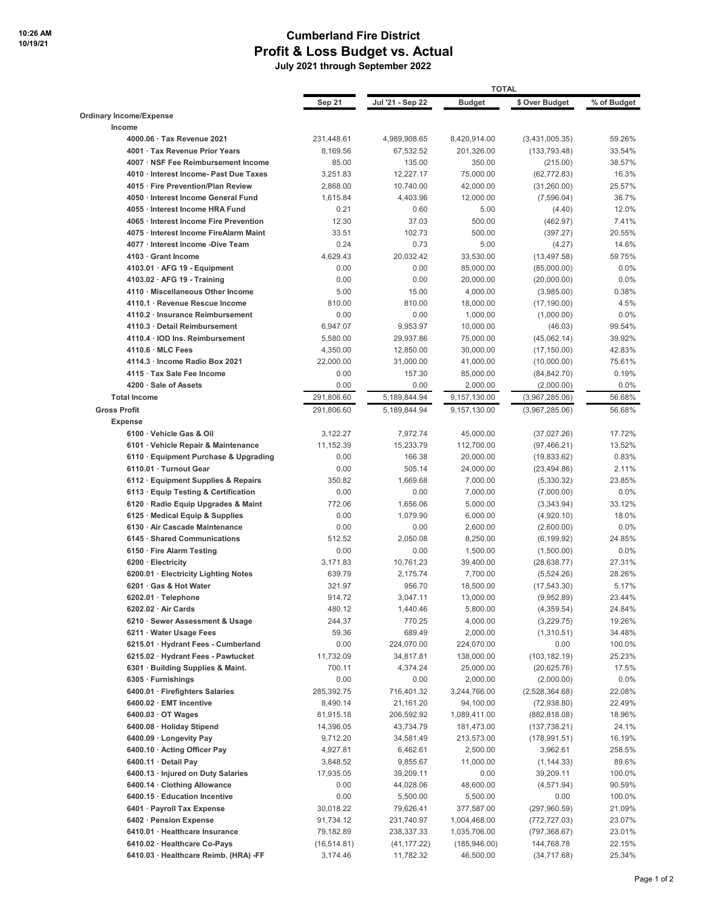## **Cumberland Fire District Profit & Loss Budget vs. Actual**

 **July 2021 through September 2022**

|                                                                     |                     | <b>TOTAL</b>            |                         |                             |                  |
|---------------------------------------------------------------------|---------------------|-------------------------|-------------------------|-----------------------------|------------------|
|                                                                     | Sep 21              | Jul '21 - Sep 22        | <b>Budget</b>           | \$ Over Budget              | % of Budget      |
| <b>Ordinary Income/Expense</b>                                      |                     |                         |                         |                             |                  |
| Income                                                              |                     |                         |                         |                             |                  |
| 4000.06 · Tax Revenue 2021                                          | 231,448.61          | 4,989,908.65            | 8,420,914.00            | (3,431,005.35)              | 59.26%           |
| 4001 · Tax Revenue Prior Years                                      | 8,169.56            | 67,532.52               | 201,326.00              | (133, 793.48)               | 33.54%           |
| 4007 · NSF Fee Reimbursement Income                                 | 85.00               | 135.00                  | 350.00                  | (215.00)                    | 38.57%           |
| 4010 · Interest Income- Past Due Taxes                              | 3,251.83            | 12,227.17               | 75,000.00               | (62, 772.83)                | 16.3%            |
| 4015 · Fire Prevention/Plan Review                                  | 2,868.00            | 10,740.00               | 42,000.00               | (31, 260.00)                | 25.57%           |
| 4050 · Interest Income General Fund                                 | 1,615.84            | 4,403.96                | 12,000.00               | (7,596.04)                  | 36.7%            |
| 4055 · Interest Income HRA Fund                                     | 0.21                | 0.60                    | 5.00                    | (4.40)                      | 12.0%            |
| 4065 · Interest Income Fire Prevention                              | 12.30               | 37.03                   | 500.00                  | (462.97)                    | 7.41%            |
| 4075 · Interest Income FireAlarm Maint                              | 33.51               | 102.73                  | 500.00                  | (397.27)                    | 20.55%           |
| 4077 Interest Income -Dive Team                                     | 0.24                | 0.73                    | 5.00                    | (4.27)                      | 14.6%            |
| 4103 Grant Income                                                   | 4,629.43            | 20,032.42               | 33,530.00               | (13, 497.58)                | 59.75%           |
| $4103.01 \cdot AFG$ 19 - Equipment                                  | 0.00                | 0.00                    | 85,000.00               | (85,000.00)                 | 0.0%             |
| $4103.02 \cdot AFG$ 19 - Training                                   | 0.00                | 0.00                    | 20,000.00               | (20,000.00)                 | 0.0%             |
| 4110 · Miscellaneous Other Income<br>4110.1 · Revenue Rescue Income | 5.00<br>810.00      | 15.00<br>810.00         | 4,000.00                | (3,985.00)                  | 0.38%<br>4.5%    |
| 4110.2 · Insurance Reimbursement                                    | 0.00                | 0.00                    | 18,000.00<br>1,000.00   | (17, 190.00)                | 0.0%             |
| 4110.3 · Detail Reimbursement                                       | 6,947.07            | 9,953.97                | 10,000.00               | (1,000.00)<br>(46.03)       | 99.54%           |
| 4110.4 · IOD Ins. Reimbursement                                     | 5,580.00            | 29,937.86               | 75,000.00               | (45,062.14)                 | 39.92%           |
| 4110.6 · MLC Fees                                                   | 4,350.00            | 12,850.00               | 30,000.00               | (17, 150.00)                | 42.83%           |
| 4114.3 · Income Radio Box 2021                                      | 22,000.00           | 31,000.00               | 41,000.00               | (10,000.00)                 | 75.61%           |
| 4115 · Tax Sale Fee Income                                          | 0.00                | 157.30                  | 85,000.00               | (84, 842.70)                | 0.19%            |
| 4200 · Sale of Assets                                               | 0.00                | 0.00                    | 2,000.00                | (2,000.00)                  | 0.0%             |
| <b>Total Income</b>                                                 | 291,806.60          | 5,189,844.94            | 9,157,130.00            | (3,967,285.06)              | 56.68%           |
| <b>Gross Profit</b>                                                 | 291,806.60          | 5,189,844.94            | 9,157,130.00            | (3,967,285.06)              | 56.68%           |
| <b>Expense</b>                                                      |                     |                         |                         |                             |                  |
| 6100 · Vehicle Gas & Oil                                            | 3,122.27            | 7,972.74                | 45,000.00               | (37,027.26)                 | 17.72%           |
| 6101 · Vehicle Repair & Maintenance                                 | 11,152.39           | 15,233.79               | 112,700.00              | (97, 466.21)                | 13.52%           |
| 6110 · Equipment Purchase & Upgrading                               | 0.00                | 166.38                  | 20,000.00               | (19,833.62)                 | 0.83%            |
| 6110.01 · Turnout Gear                                              | 0.00                | 505.14                  | 24,000.00               | (23, 494.86)                | 2.11%            |
| 6112 · Equipment Supplies & Repairs                                 | 350.82              | 1,669.68                | 7,000.00                | (5,330.32)                  | 23.85%           |
| 6113 · Equip Testing & Certification                                | 0.00                | 0.00                    | 7,000.00                | (7,000.00)                  | 0.0%             |
| 6120 · Radio Equip Upgrades & Maint                                 | 772.06              | 1,656.06                | 5,000.00                | (3,343.94)                  | 33.12%           |
| 6125 · Medical Equip & Supplies                                     | 0.00                | 1,079.90                | 6,000.00                | (4,920.10)                  | 18.0%            |
| 6130 · Air Cascade Maintenance                                      | 0.00                | 0.00                    | 2,600.00                | (2,600.00)                  | 0.0%             |
| 6145 · Shared Communications                                        | 512.52              | 2,050.08                | 8,250.00                | (6, 199.92)                 | 24.85%           |
| 6150 · Fire Alarm Testing                                           | 0.00                | 0.00                    | 1,500.00                | (1,500.00)                  | 0.0%             |
| 6200 · Electricity                                                  | 3,171.83            | 10,761.23               | 39,400.00               | (28, 638.77)                | 27.31%           |
| 6200.01 · Electricity Lighting Notes                                | 639.79              | 2,175.74                | 7,700.00                | (5,524.26)                  | 28.26%           |
| 6201 · Gas & Hot Water                                              | 321.97              | 956.70                  | 18,500.00               | (17, 543.30)                | 5.17%            |
| 6202.01 · Telephone                                                 | 914.72              | 3,047.11                | 13,000.00               | (9,952.89)                  | 23.44%           |
| $6202.02 \cdot Air Cards$                                           | 480.12              | 1,440.46                | 5,800.00                | (4,359.54)                  | 24.84%           |
| 6210 · Sewer Assessment & Usage                                     | 244.37              | 770.25                  | 4,000.00                | (3,229.75)                  | 19.26%           |
| 6211 Water Usage Fees<br>6215.01 · Hydrant Fees - Cumberland        | 59.36               | 689.49                  | 2,000.00                | (1,310.51)                  | 34.48%<br>100.0% |
| 6215.02 · Hydrant Fees - Pawtucket                                  | 0.00                | 224,070.00<br>34,817.81 | 224,070.00              | 0.00                        |                  |
| 6301 · Building Supplies & Maint.                                   | 11,732.09<br>700.11 | 4,374.24                | 138,000.00<br>25,000.00 | (103,182.19)<br>(20,625.76) | 25.23%<br>17.5%  |
| 6305 · Furnishings                                                  | 0.00                | 0.00                    | 2,000.00                | (2,000.00)                  | $0.0\%$          |
| 6400.01 · Firefighters Salaries                                     | 285,392.75          | 716,401.32              | 3,244,766.00            | (2,528,364.68)              | 22.08%           |
| 6400.02 · EMT Incentive                                             | 8,490.14            | 21,161.20               | 94,100.00               | (72,938.80)                 | 22.49%           |
| $6400.03 \cdot$ OT Wages                                            | 81,915.18           | 206,592.92              | 1,089,411.00            | (882, 818.08)               | 18.96%           |
| 6400.08 · Holiday Stipend                                           | 14,396.05           | 43,734.79               | 181,473.00              | (137,738.21)                | 24.1%            |
| 6400.09 · Longevity Pay                                             | 9,712.20            | 34,581.49               | 213,573.00              | (178, 991.51)               | 16.19%           |
| 6400.10 · Acting Officer Pay                                        | 4,927.81            | 6,462.61                | 2,500.00                | 3,962.61                    | 258.5%           |
| 6400.11 · Detail Pay                                                | 3,848.52            | 9,855.67                | 11,000.00               | (1, 144.33)                 | 89.6%            |
| 6400.13 · Injured on Duty Salaries                                  | 17,935.05           | 39,209.11               | 0.00                    | 39,209.11                   | 100.0%           |
| 6400.14 · Clothing Allowance                                        | 0.00                | 44,028.06               | 48,600.00               | (4, 571.94)                 | 90.59%           |
| 6400.15 · Education Incentive                                       | 0.00                | 5,500.00                | 5,500.00                | 0.00                        | 100.0%           |
| 6401 · Payroll Tax Expense                                          | 30,018.22           | 79,626.41               | 377,587.00              | (297,960.59)                | 21.09%           |
| 6402 · Pension Expense                                              | 91,734.12           | 231,740.97              | 1,004,468.00            | (772,727.03)                | 23.07%           |
| 6410.01 · Healthcare Insurance                                      | 79,182.89           | 238,337.33              | 1,035,706.00            | (797,368.67)                | 23.01%           |
| 6410.02 · Healthcare Co-Pays                                        | (16, 514.81)        | (41, 177.22)            | (185, 946.00)           | 144,768.78                  | 22.15%           |
| 6410.03 · Healthcare Reimb. (HRA) -FF                               | 3,174.46            | 11,782.32               | 46,500.00               | (34, 717.68)                | 25.34%           |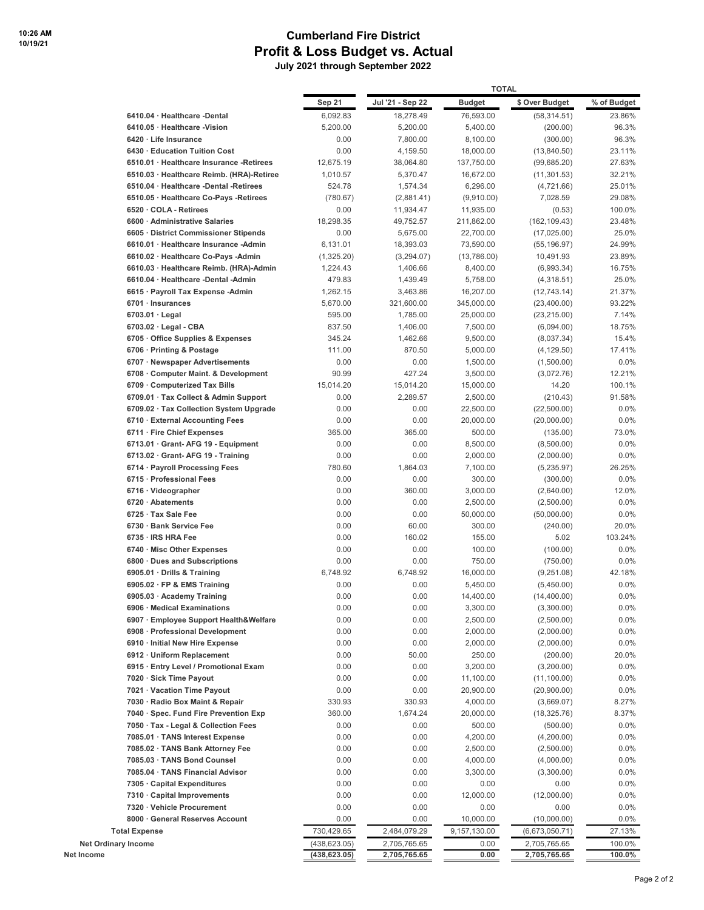## **Cumberland Fire District Profit & Loss Budget vs. Actual**

 **July 2021 through September 2022**

|                                                                            |                   |                       | <b>TOTAL</b>            |                              |                   |
|----------------------------------------------------------------------------|-------------------|-----------------------|-------------------------|------------------------------|-------------------|
|                                                                            | Sep 21            | Jul '21 - Sep 22      | <b>Budget</b>           | \$ Over Budget               | % of Budget       |
| 6410.04 · Healthcare -Dental                                               | 6,092.83          | 18,278.49             | 76,593.00               | (58, 314.51)                 | 23.86%            |
| 6410.05 · Healthcare -Vision                                               | 5,200.00          | 5,200.00              | 5,400.00                | (200.00)                     | 96.3%             |
| 6420 · Life Insurance                                                      | 0.00              | 7,800.00              | 8,100.00                | (300.00)                     | 96.3%             |
| 6430 Education Tuition Cost                                                | 0.00              | 4,159.50              | 18,000.00               | (13,840.50)                  | 23.11%            |
| 6510.01 · Healthcare Insurance -Retirees                                   | 12,675.19         | 38,064.80             | 137,750.00              | (99,685.20)                  | 27.63%            |
| 6510.03 · Healthcare Reimb. (HRA)-Retiree                                  | 1,010.57          | 5,370.47              | 16,672.00               | (11, 301.53)                 | 32.21%            |
| 6510.04 · Healthcare -Dental -Retirees                                     | 524.78            | 1,574.34              | 6,296.00                | (4,721.66)                   | 25.01%            |
| 6510.05 · Healthcare Co-Pays -Retirees                                     | (780.67)          | (2,881.41)            | (9,910.00)              | 7,028.59                     | 29.08%            |
| 6520 · COLA - Retirees<br>6600 Administrative Salaries                     | 0.00<br>18,298.35 | 11,934.47             | 11,935.00               | (0.53)                       | 100.0%<br>23.48%  |
| 6605 · District Commissioner Stipends                                      | 0.00              | 49,752.57<br>5,675.00 | 211,862.00<br>22,700.00 | (162, 109.43)<br>(17,025.00) | 25.0%             |
| 6610.01 · Healthcare Insurance -Admin                                      | 6,131.01          | 18,393.03             | 73,590.00               | (55, 196.97)                 | 24.99%            |
| 6610.02 · Healthcare Co-Pays -Admin                                        | (1,325.20)        | (3,294.07)            | (13,786.00)             | 10,491.93                    | 23.89%            |
| 6610.03 · Healthcare Reimb. (HRA)-Admin                                    | 1,224.43          | 1,406.66              | 8,400.00                | (6,993.34)                   | 16.75%            |
| 6610.04 · Healthcare -Dental -Admin                                        | 479.83            | 1,439.49              | 5,758.00                | (4,318.51)                   | 25.0%             |
| 6615 · Payroll Tax Expense -Admin                                          | 1,262.15          | 3,463.86              | 16,207.00               | (12,743.14)                  | 21.37%            |
| 6701 · Insurances                                                          | 5,670.00          | 321,600.00            | 345,000.00              | (23,400.00)                  | 93.22%            |
| $6703.01 \cdot$ Legal                                                      | 595.00            | 1,785.00              | 25,000.00               | (23, 215.00)                 | 7.14%             |
| $6703.02 \cdot$ Legal - CBA                                                | 837.50            | 1,406.00              | 7,500.00                | (6,094.00)                   | 18.75%            |
| 6705 Office Supplies & Expenses                                            | 345.24            | 1,462.66              | 9,500.00                | (8,037.34)                   | 15.4%             |
| 6706 · Printing & Postage                                                  | 111.00            | 870.50                | 5,000.00                | (4, 129.50)                  | 17.41%            |
| 6707 · Newspaper Advertisements                                            | 0.00              | 0.00                  | 1,500.00                | (1,500.00)                   | $0.0\%$           |
| 6708 Computer Maint. & Development                                         | 90.99             | 427.24                | 3,500.00                | (3,072.76)                   | 12.21%            |
| 6709 Computerized Tax Bills                                                | 15,014.20         | 15,014.20             | 15,000.00               | 14.20                        | 100.1%            |
| 6709.01 · Tax Collect & Admin Support                                      | 0.00              | 2,289.57              | 2,500.00                | (210.43)                     | 91.58%<br>$0.0\%$ |
| 6709.02 · Tax Collection System Upgrade<br>6710 · External Accounting Fees | 0.00<br>0.00      | 0.00<br>0.00          | 22,500.00<br>20,000.00  | (22,500.00)<br>(20,000.00)   | $0.0\%$           |
| 6711 · Fire Chief Expenses                                                 | 365.00            | 365.00                | 500.00                  | (135.00)                     | 73.0%             |
| 6713.01 · Grant- AFG 19 - Equipment                                        | 0.00              | 0.00                  | 8,500.00                | (8,500.00)                   | $0.0\%$           |
| $6713.02 \cdot$ Grant-AFG 19 - Training                                    | 0.00              | 0.00                  | 2,000.00                | (2,000.00)                   | $0.0\%$           |
| 6714 · Payroll Processing Fees                                             | 780.60            | 1,864.03              | 7,100.00                | (5,235.97)                   | 26.25%            |
| 6715 · Professional Fees                                                   | 0.00              | 0.00                  | 300.00                  | (300.00)                     | 0.0%              |
| 6716 · Videographer                                                        | 0.00              | 360.00                | 3,000.00                | (2,640.00)                   | 12.0%             |
| 6720 · Abatements                                                          | 0.00              | 0.00                  | 2,500.00                | (2,500.00)                   | $0.0\%$           |
| 6725 · Tax Sale Fee                                                        | 0.00              | 0.00                  | 50,000.00               | (50,000.00)                  | $0.0\%$           |
| 6730 Bank Service Fee                                                      | 0.00              | 60.00                 | 300.00                  | (240.00)                     | 20.0%             |
| 6735 · IRS HRA Fee                                                         | 0.00              | 160.02                | 155.00                  | 5.02                         | 103.24%           |
| 6740 · Misc Other Expenses                                                 | 0.00              | 0.00                  | 100.00                  | (100.00)                     | $0.0\%$           |
| 6800 Dues and Subscriptions                                                | 0.00              | 0.00                  | 750.00                  | (750.00)                     | $0.0\%$           |
| 6905.01 · Drills & Training                                                | 6.748.92<br>0.00  | 6,748.92<br>0.00      | 16,000.00               | (9,251.08)                   | 42.18%<br>0.0%    |
| 6905.02 · FP & EMS Training<br>6905.03 · Academy Training                  | 0.00              | 0.00                  | 5,450.00<br>14,400.00   | (5,450.00)<br>(14, 400.00)   | 0.0%              |
| 6906 · Medical Examinations                                                | 0.00              | 0.00                  | 3,300.00                | (3,300.00)                   | $0.0\%$           |
| 6907 · Employee Support Health&Welfare                                     | 0.00              | 0.00                  | 2,500.00                | (2,500.00)                   | $0.0\%$           |
| 6908 · Professional Development                                            | 0.00              | 0.00                  | 2,000.00                | (2,000.00)                   | $0.0\%$           |
| 6910 · Initial New Hire Expense                                            | 0.00              | 0.00                  | 2,000.00                | (2,000.00)                   | $0.0\%$           |
| 6912 · Uniform Replacement                                                 | 0.00              | 50.00                 | 250.00                  | (200.00)                     | 20.0%             |
| 6915 · Entry Level / Promotional Exam                                      | 0.00              | 0.00                  | 3,200.00                | (3,200.00)                   | 0.0%              |
| 7020 · Sick Time Payout                                                    | 0.00              | 0.00                  | 11,100.00               | (11, 100.00)                 | 0.0%              |
| 7021 · Vacation Time Payout                                                | 0.00              | 0.00                  | 20,900.00               | (20,900.00)                  | 0.0%              |
| 7030 · Radio Box Maint & Repair                                            | 330.93            | 330.93                | 4,000.00                | (3,669.07)                   | 8.27%             |
| 7040 · Spec. Fund Fire Prevention Exp                                      | 360.00            | 1,674.24              | 20,000.00               | (18, 325.76)                 | 8.37%             |
| 7050 · Tax - Legal & Collection Fees                                       | 0.00              | 0.00                  | 500.00                  | (500.00)                     | $0.0\%$           |
| 7085.01 · TANS Interest Expense                                            | 0.00              | 0.00                  | 4,200.00                | (4,200.00)                   | 0.0%              |
| 7085.02 · TANS Bank Attorney Fee                                           | 0.00              | 0.00                  | 2,500.00                | (2,500.00)                   | 0.0%              |
| 7085.03 · TANS Bond Counsel<br>7085.04 · TANS Financial Advisor            | 0.00<br>0.00      | 0.00<br>0.00          | 4,000.00<br>3,300.00    | (4,000.00)<br>(3,300.00)     | 0.0%<br>$0.0\%$   |
| 7305 · Capital Expenditures                                                | 0.00              | 0.00                  | 0.00                    | 0.00                         | $0.0\%$           |
| 7310 · Capital Improvements                                                | 0.00              | 0.00                  | 12,000.00               | (12,000.00)                  | 0.0%              |
| 7320 · Vehicle Procurement                                                 | 0.00              | 0.00                  | 0.00                    | 0.00                         | 0.0%              |
| 8000 · General Reserves Account                                            | 0.00              | 0.00                  | 10,000.00               | (10,000.00)                  | 0.0%              |
| <b>Total Expense</b>                                                       | 730,429.65        | 2,484,079.29          | 9,157,130.00            | (6,673,050.71)               | 27.13%            |
| <b>Net Ordinary Income</b>                                                 | (438,623.05)      | 2,705,765.65          | 0.00                    | 2,705,765.65                 | 100.0%            |
| Net Income                                                                 | (438, 623.05)     | 2,705,765.65          | 0.00                    | 2,705,765.65                 | 100.0%            |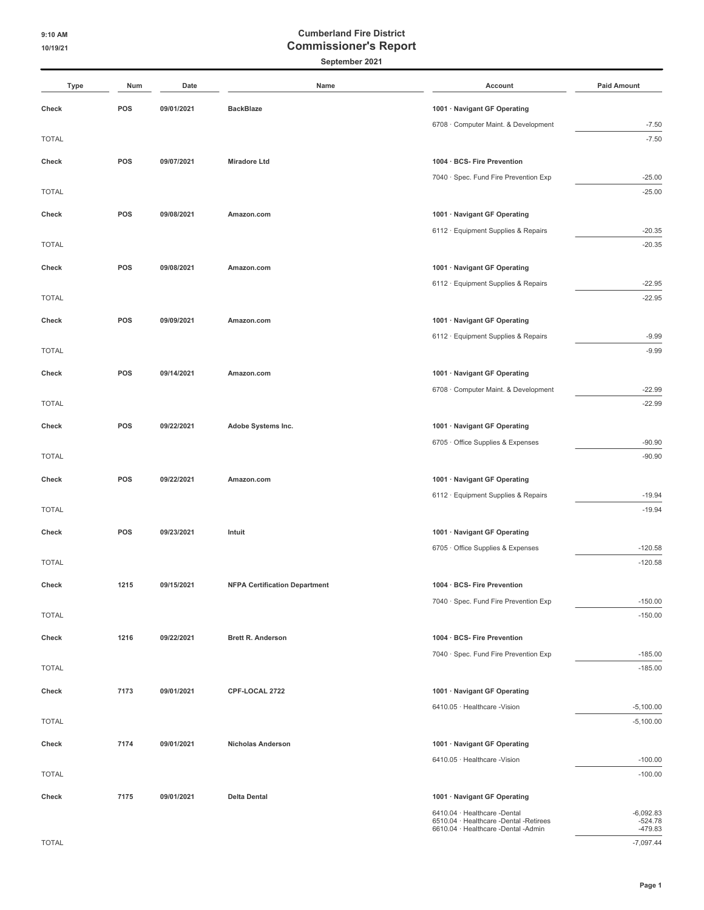### **September 2021**

| <b>Type</b>  | Num  | Date       | Name                                 | Account                                                                       | <b>Paid Amount</b>     |
|--------------|------|------------|--------------------------------------|-------------------------------------------------------------------------------|------------------------|
| Check        | POS  | 09/01/2021 | <b>BackBlaze</b>                     | 1001 · Navigant GF Operating                                                  |                        |
|              |      |            |                                      | 6708 · Computer Maint. & Development                                          | $-7.50$                |
| <b>TOTAL</b> |      |            |                                      |                                                                               | $-7.50$                |
|              |      |            |                                      |                                                                               |                        |
| Check        | POS  | 09/07/2021 | <b>Miradore Ltd</b>                  | 1004 · BCS- Fire Prevention                                                   |                        |
|              |      |            |                                      | 7040 · Spec. Fund Fire Prevention Exp                                         | $-25.00$<br>$-25.00$   |
| <b>TOTAL</b> |      |            |                                      |                                                                               |                        |
| Check        | POS  | 09/08/2021 | Amazon.com                           | 1001 · Navigant GF Operating                                                  |                        |
|              |      |            |                                      | 6112 · Equipment Supplies & Repairs                                           | $-20.35$               |
| <b>TOTAL</b> |      |            |                                      |                                                                               | $-20.35$               |
| Check        | POS  | 09/08/2021 | Amazon.com                           | 1001 · Navigant GF Operating                                                  |                        |
|              |      |            |                                      | 6112 · Equipment Supplies & Repairs                                           | $-22.95$               |
| <b>TOTAL</b> |      |            |                                      |                                                                               | $-22.95$               |
| Check        | POS  | 09/09/2021 |                                      | 1001 · Navigant GF Operating                                                  |                        |
|              |      |            | Amazon.com                           |                                                                               |                        |
| <b>TOTAL</b> |      |            |                                      | 6112 · Equipment Supplies & Repairs                                           | $-9.99$<br>$-9.99$     |
|              |      |            |                                      |                                                                               |                        |
| Check        | POS  | 09/14/2021 | Amazon.com                           | 1001 · Navigant GF Operating                                                  |                        |
|              |      |            |                                      | 6708 · Computer Maint. & Development                                          | $-22.99$               |
| <b>TOTAL</b> |      |            |                                      |                                                                               | $-22.99$               |
| Check        | POS  | 09/22/2021 | Adobe Systems Inc.                   | 1001 · Navigant GF Operating                                                  |                        |
|              |      |            |                                      | 6705 · Office Supplies & Expenses                                             | $-90.90$               |
| <b>TOTAL</b> |      |            |                                      |                                                                               | $-90.90$               |
| Check        | POS  | 09/22/2021 | Amazon.com                           | 1001 · Navigant GF Operating                                                  |                        |
|              |      |            |                                      | 6112 · Equipment Supplies & Repairs                                           | $-19.94$               |
| <b>TOTAL</b> |      |            |                                      |                                                                               | $-19.94$               |
|              |      |            |                                      |                                                                               |                        |
| Check        | POS  | 09/23/2021 | Intuit                               | 1001 · Navigant GF Operating                                                  |                        |
|              |      |            |                                      | 6705 Office Supplies & Expenses                                               | $-120.58$              |
| <b>TOTAL</b> |      |            |                                      |                                                                               | $-120.58$              |
| Check        | 1215 | 09/15/2021 | <b>NFPA Certification Department</b> | 1004 · BCS- Fire Prevention                                                   |                        |
|              |      |            |                                      | 7040 · Spec. Fund Fire Prevention Exp                                         | $-150.00$              |
| <b>TOTAL</b> |      |            |                                      |                                                                               | $-150.00$              |
| Check        | 1216 | 09/22/2021 | <b>Brett R. Anderson</b>             | 1004 · BCS- Fire Prevention                                                   |                        |
|              |      |            |                                      | 7040 · Spec. Fund Fire Prevention Exp                                         | $-185.00$              |
| <b>TOTAL</b> |      |            |                                      |                                                                               | $-185.00$              |
|              |      |            |                                      |                                                                               |                        |
| Check        | 7173 | 09/01/2021 | CPF-LOCAL 2722                       | 1001 · Navigant GF Operating                                                  |                        |
|              |      |            |                                      | 6410.05 · Healthcare -Vision                                                  | $-5,100.00$            |
| <b>TOTAL</b> |      |            |                                      |                                                                               | $-5,100.00$            |
| Check        | 7174 | 09/01/2021 | <b>Nicholas Anderson</b>             | 1001 · Navigant GF Operating                                                  |                        |
|              |      |            |                                      | 6410.05 · Healthcare -Vision                                                  | $-100.00$              |
| <b>TOTAL</b> |      |            |                                      |                                                                               | $-100.00$              |
| Check        | 7175 | 09/01/2021 | <b>Delta Dental</b>                  | 1001 · Navigant GF Operating                                                  |                        |
|              |      |            |                                      | 6410.04 · Healthcare -Dental                                                  | $-6,092.83$            |
|              |      |            |                                      | 6510.04 · Healthcare -Dental -Retirees<br>6610.04 · Healthcare -Dental -Admin | $-524.78$<br>$-479.83$ |

TOTAL -7,097.44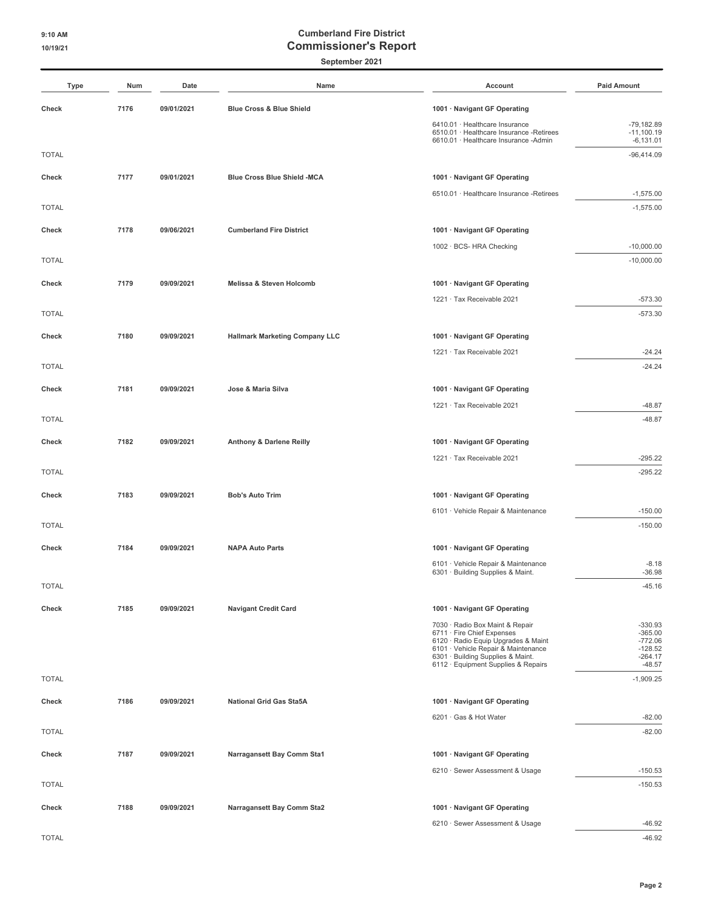**September 2021**

| <b>Type</b>  | Num  | Date       | Name                                  | Account                                                                                                             | <b>Paid Amount</b>                          |
|--------------|------|------------|---------------------------------------|---------------------------------------------------------------------------------------------------------------------|---------------------------------------------|
| Check        | 7176 | 09/01/2021 | Blue Cross & Blue Shield              | 1001 · Navigant GF Operating                                                                                        |                                             |
|              |      |            |                                       | 6410.01 · Healthcare Insurance<br>6510.01 · Healthcare Insurance -Retirees<br>6610.01 · Healthcare Insurance -Admin | $-79,182.89$<br>$-11,100.19$<br>$-6,131.01$ |
| <b>TOTAL</b> |      |            |                                       |                                                                                                                     | $-96,414.09$                                |
| Check        | 7177 | 09/01/2021 | Blue Cross Blue Shield -MCA           | 1001 · Navigant GF Operating                                                                                        |                                             |
|              |      |            |                                       | 6510.01 · Healthcare Insurance -Retirees                                                                            | $-1,575.00$                                 |
| <b>TOTAL</b> |      |            |                                       |                                                                                                                     | $-1,575.00$                                 |
| Check        | 7178 | 09/06/2021 | <b>Cumberland Fire District</b>       | 1001 · Navigant GF Operating                                                                                        |                                             |
|              |      |            |                                       | 1002 · BCS- HRA Checking                                                                                            | $-10,000.00$                                |
| <b>TOTAL</b> |      |            |                                       |                                                                                                                     | $-10,000.00$                                |
| Check        | 7179 | 09/09/2021 | Melissa & Steven Holcomb              | 1001 · Navigant GF Operating                                                                                        |                                             |
|              |      |            |                                       | 1221 · Tax Receivable 2021                                                                                          | $-573.30$                                   |
| <b>TOTAL</b> |      |            |                                       |                                                                                                                     | $-573.30$                                   |
| Check        | 7180 | 09/09/2021 | <b>Hallmark Marketing Company LLC</b> | 1001 · Navigant GF Operating                                                                                        |                                             |
|              |      |            |                                       | 1221 · Tax Receivable 2021                                                                                          | $-24.24$                                    |
| <b>TOTAL</b> |      |            |                                       |                                                                                                                     | $-24.24$                                    |
| Check        | 7181 | 09/09/2021 | Jose & Maria Silva                    | 1001 · Navigant GF Operating                                                                                        |                                             |
|              |      |            |                                       | 1221 · Tax Receivable 2021                                                                                          | $-48.87$                                    |
| <b>TOTAL</b> |      |            |                                       |                                                                                                                     | $-48.87$                                    |
| Check        | 7182 | 09/09/2021 | Anthony & Darlene Reilly              | 1001 · Navigant GF Operating                                                                                        |                                             |
|              |      |            |                                       | 1221 · Tax Receivable 2021                                                                                          | $-295.22$                                   |
| <b>TOTAL</b> |      |            |                                       |                                                                                                                     | $-295.22$                                   |
| Check        | 7183 | 09/09/2021 | <b>Bob's Auto Trim</b>                | 1001 · Navigant GF Operating                                                                                        |                                             |
|              |      |            |                                       | 6101 · Vehicle Repair & Maintenance                                                                                 | $-150.00$                                   |
| <b>TOTAL</b> |      |            |                                       |                                                                                                                     | $-150.00$                                   |
| Check        | 7184 | 09/09/2021 | <b>NAPA Auto Parts</b>                | 1001 · Navigant GF Operating                                                                                        |                                             |
|              |      |            |                                       | 6101 · Vehicle Repair & Maintenance<br>6301 · Building Supplies & Maint.                                            | $-8.18$<br>$-36.98$                         |
| <b>TOTAL</b> |      |            |                                       |                                                                                                                     | $-45.16$                                    |
|              |      |            |                                       |                                                                                                                     |                                             |
| Check        | 7185 | 09/09/2021 | <b>Navigant Credit Card</b>           | 1001 · Navigant GF Operating<br>7030 · Radio Box Maint & Repair                                                     | $-330.93$                                   |
|              |      |            |                                       | 6711 · Fire Chief Expenses<br>6120 · Radio Equip Upgrades & Maint                                                   | $-365.00$<br>$-772.06$                      |
|              |      |            |                                       | 6101 · Vehicle Repair & Maintenance<br>6301 · Building Supplies & Maint.                                            | $-128.52$<br>$-264.17$                      |
|              |      |            |                                       | 6112 · Equipment Supplies & Repairs                                                                                 | $-48.57$                                    |
| <b>TOTAL</b> |      |            |                                       |                                                                                                                     | $-1,909.25$                                 |
| Check        | 7186 | 09/09/2021 | <b>National Grid Gas Sta5A</b>        | 1001 · Navigant GF Operating                                                                                        |                                             |
|              |      |            |                                       | 6201 · Gas & Hot Water                                                                                              | $-82.00$                                    |
| <b>TOTAL</b> |      |            |                                       |                                                                                                                     | $-82.00$                                    |
| Check        | 7187 | 09/09/2021 | Narragansett Bay Comm Sta1            | 1001 · Navigant GF Operating                                                                                        |                                             |
|              |      |            |                                       | 6210 · Sewer Assessment & Usage                                                                                     | $-150.53$                                   |
| <b>TOTAL</b> |      |            |                                       |                                                                                                                     | $-150.53$                                   |
| Check        | 7188 | 09/09/2021 | Narragansett Bay Comm Sta2            | 1001 · Navigant GF Operating                                                                                        |                                             |
|              |      |            |                                       | 6210 · Sewer Assessment & Usage                                                                                     | $-46.92$                                    |
| <b>TOTAL</b> |      |            |                                       |                                                                                                                     | $-46.92$                                    |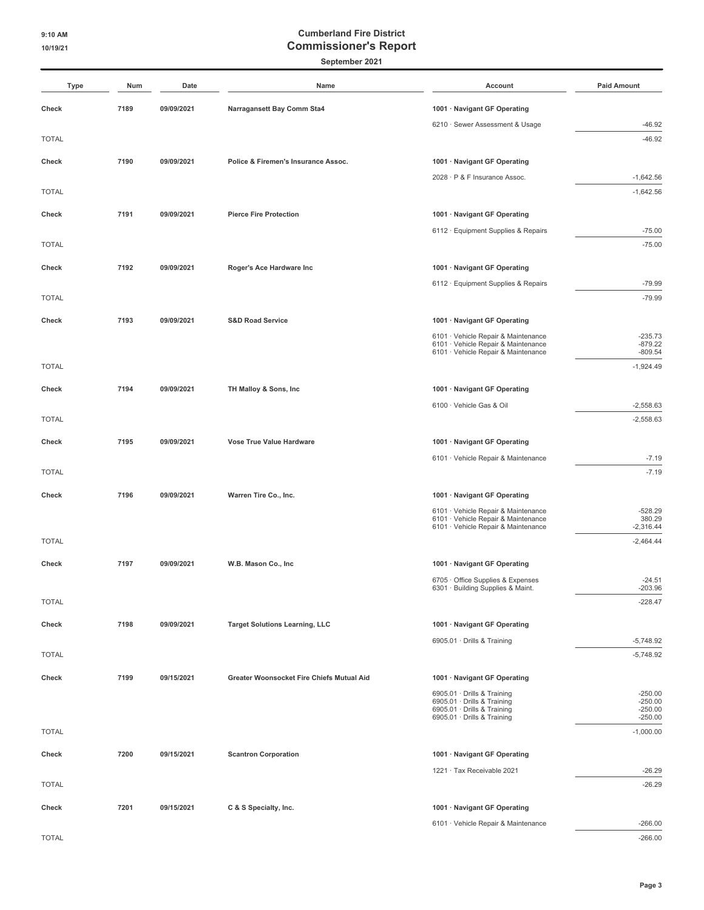### **September 2021**

| <b>Type</b>  | Num  | Date       | Name                                      | Account                                                                    | <b>Paid Amount</b>     |
|--------------|------|------------|-------------------------------------------|----------------------------------------------------------------------------|------------------------|
| Check        | 7189 | 09/09/2021 | Narragansett Bay Comm Sta4                | 1001 · Navigant GF Operating                                               |                        |
|              |      |            |                                           | 6210 · Sewer Assessment & Usage                                            | $-46.92$               |
| <b>TOTAL</b> |      |            |                                           |                                                                            | $-46.92$               |
| Check        | 7190 | 09/09/2021 | Police & Firemen's Insurance Assoc.       | 1001 · Navigant GF Operating                                               |                        |
|              |      |            |                                           | 2028 · P & F Insurance Assoc.                                              | $-1,642.56$            |
| <b>TOTAL</b> |      |            |                                           |                                                                            | $-1,642.56$            |
| Check        | 7191 | 09/09/2021 | <b>Pierce Fire Protection</b>             | 1001 · Navigant GF Operating                                               |                        |
|              |      |            |                                           | 6112 · Equipment Supplies & Repairs                                        | $-75.00$               |
| <b>TOTAL</b> |      |            |                                           |                                                                            | $-75.00$               |
| Check        | 7192 | 09/09/2021 | Roger's Ace Hardware Inc                  | 1001 · Navigant GF Operating                                               |                        |
|              |      |            |                                           | 6112 · Equipment Supplies & Repairs                                        | $-79.99$               |
| <b>TOTAL</b> |      |            |                                           |                                                                            | $-79.99$               |
| Check        | 7193 | 09/09/2021 | <b>S&amp;D Road Service</b>               | 1001 · Navigant GF Operating                                               |                        |
|              |      |            |                                           | 6101 · Vehicle Repair & Maintenance                                        | $-235.73$              |
|              |      |            |                                           | 6101 · Vehicle Repair & Maintenance<br>6101 · Vehicle Repair & Maintenance | $-879.22$<br>$-809.54$ |
| <b>TOTAL</b> |      |            |                                           |                                                                            | $-1,924.49$            |
| Check        | 7194 | 09/09/2021 | TH Malloy & Sons, Inc                     | 1001 · Navigant GF Operating                                               |                        |
|              |      |            |                                           | 6100 · Vehicle Gas & Oil                                                   | $-2,558.63$            |
| <b>TOTAL</b> |      |            |                                           |                                                                            | $-2,558.63$            |
| Check        | 7195 | 09/09/2021 | Vose True Value Hardware                  | 1001 · Navigant GF Operating                                               |                        |
|              |      |            |                                           | 6101 · Vehicle Repair & Maintenance                                        | $-7.19$                |
| <b>TOTAL</b> |      |            |                                           |                                                                            | $-7.19$                |
| Check        | 7196 | 09/09/2021 | Warren Tire Co., Inc.                     | 1001 · Navigant GF Operating                                               |                        |
|              |      |            |                                           | 6101 · Vehicle Repair & Maintenance                                        | $-528.29$              |
|              |      |            |                                           | 6101 · Vehicle Repair & Maintenance<br>6101 · Vehicle Repair & Maintenance | 380.29<br>$-2,316.44$  |
| <b>TOTAL</b> |      |            |                                           |                                                                            | $-2,464.44$            |
| Check        | 7197 | 09/09/2021 | W.B. Mason Co., Inc.                      | 1001 · Navigant GF Operating                                               |                        |
|              |      |            |                                           | 6705 · Office Supplies & Expenses                                          | $-24.51$               |
|              |      |            |                                           | 6301 · Building Supplies & Maint.                                          | $-203.96$              |
| <b>TOTAL</b> |      |            |                                           |                                                                            | $-228.47$              |
| Check        | 7198 | 09/09/2021 | <b>Target Solutions Learning, LLC</b>     | 1001 · Navigant GF Operating                                               |                        |
|              |      |            |                                           | 6905.01 · Drills & Training                                                | $-5,748.92$            |
| <b>TOTAL</b> |      |            |                                           |                                                                            | $-5,748.92$            |
| Check        | 7199 | 09/15/2021 | Greater Woonsocket Fire Chiefs Mutual Aid | 1001 · Navigant GF Operating                                               |                        |
|              |      |            |                                           | 6905.01 · Drills & Training<br>6905.01 · Drills & Training                 | $-250.00$<br>$-250.00$ |
|              |      |            |                                           | 6905.01 · Drills & Training<br>6905.01 · Drills & Training                 | $-250.00$<br>$-250.00$ |
| <b>TOTAL</b> |      |            |                                           |                                                                            | $-1,000.00$            |
| Check        | 7200 | 09/15/2021 | <b>Scantron Corporation</b>               | 1001 · Navigant GF Operating                                               |                        |
|              |      |            |                                           | 1221 · Tax Receivable 2021                                                 | $-26.29$               |
| <b>TOTAL</b> |      |            |                                           |                                                                            | $-26.29$               |
| Check        | 7201 | 09/15/2021 | C & S Specialty, Inc.                     | 1001 · Navigant GF Operating                                               |                        |
|              |      |            |                                           | 6101 · Vehicle Repair & Maintenance                                        | $-266.00$              |
| <b>TOTAL</b> |      |            |                                           |                                                                            | $-266.00$              |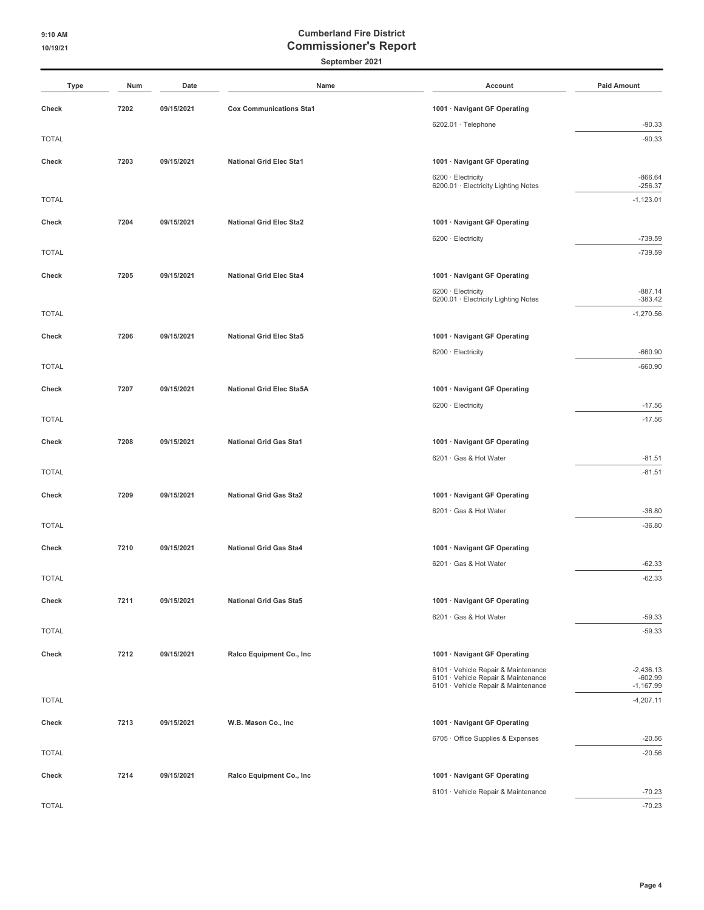#### **September 2021**

| Type         | Num  | Date       | Name                            | Account                                                                    | <b>Paid Amount</b>         |
|--------------|------|------------|---------------------------------|----------------------------------------------------------------------------|----------------------------|
| Check        | 7202 | 09/15/2021 | <b>Cox Communications Sta1</b>  | 1001 · Navigant GF Operating                                               |                            |
|              |      |            |                                 | 6202.01 · Telephone                                                        | $-90.33$                   |
| <b>TOTAL</b> |      |            |                                 |                                                                            | $-90.33$                   |
| Check        | 7203 | 09/15/2021 | <b>National Grid Elec Sta1</b>  | 1001 · Navigant GF Operating                                               |                            |
|              |      |            |                                 | 6200 · Electricity<br>6200.01 · Electricity Lighting Notes                 | $-866.64$<br>$-256.37$     |
| <b>TOTAL</b> |      |            |                                 |                                                                            | $-1,123.01$                |
| Check        | 7204 | 09/15/2021 | <b>National Grid Elec Sta2</b>  | 1001 · Navigant GF Operating                                               |                            |
|              |      |            |                                 | 6200 · Electricity                                                         | $-739.59$                  |
| <b>TOTAL</b> |      |            |                                 |                                                                            | $-739.59$                  |
| Check        | 7205 | 09/15/2021 | <b>National Grid Elec Sta4</b>  | 1001 · Navigant GF Operating                                               |                            |
|              |      |            |                                 | 6200 · Electricity                                                         | $-887.14$                  |
| <b>TOTAL</b> |      |            |                                 | 6200.01 · Electricity Lighting Notes                                       | $-383.42$<br>$-1,270.56$   |
| Check        | 7206 | 09/15/2021 | <b>National Grid Elec Sta5</b>  | 1001 · Navigant GF Operating                                               |                            |
|              |      |            |                                 | 6200 · Electricity                                                         | $-660.90$                  |
| <b>TOTAL</b> |      |            |                                 |                                                                            | $-660.90$                  |
| Check        | 7207 | 09/15/2021 | <b>National Grid Elec Sta5A</b> | 1001 · Navigant GF Operating                                               |                            |
|              |      |            |                                 | 6200 · Electricity                                                         | $-17.56$                   |
| <b>TOTAL</b> |      |            |                                 |                                                                            | $-17.56$                   |
| Check        | 7208 | 09/15/2021 | <b>National Grid Gas Sta1</b>   | 1001 · Navigant GF Operating                                               |                            |
|              |      |            |                                 | 6201 · Gas & Hot Water                                                     | $-81.51$                   |
| <b>TOTAL</b> |      |            |                                 |                                                                            | $-81.51$                   |
| Check        | 7209 | 09/15/2021 | <b>National Grid Gas Sta2</b>   | 1001 · Navigant GF Operating                                               |                            |
|              |      |            |                                 | 6201 · Gas & Hot Water                                                     | $-36.80$                   |
| <b>TOTAL</b> |      |            |                                 |                                                                            | $-36.80$                   |
| Check        | 7210 | 09/15/2021 | <b>National Grid Gas Sta4</b>   | 1001 · Navigant GF Operating                                               |                            |
|              |      |            |                                 | 6201 · Gas & Hot Water                                                     | $-62.33$                   |
| <b>TOTAL</b> |      |            |                                 |                                                                            | $-62.33$                   |
| Check        | 7211 | 09/15/2021 | <b>National Grid Gas Sta5</b>   | 1001 · Navigant GF Operating                                               |                            |
|              |      |            |                                 | 6201 · Gas & Hot Water                                                     | $-59.33$                   |
| <b>TOTAL</b> |      |            |                                 |                                                                            | $-59.33$                   |
| Check        | 7212 | 09/15/2021 | Ralco Equipment Co., Inc        | 1001 · Navigant GF Operating                                               |                            |
|              |      |            |                                 | 6101 · Vehicle Repair & Maintenance<br>6101 · Vehicle Repair & Maintenance | $-2,436.13$<br>$-602.99$   |
| <b>TOTAL</b> |      |            |                                 | 6101 · Vehicle Repair & Maintenance                                        | $-1,167.99$<br>$-4,207.11$ |
|              |      |            |                                 |                                                                            |                            |
| Check        | 7213 | 09/15/2021 | W.B. Mason Co., Inc.            | 1001 · Navigant GF Operating                                               |                            |
| <b>TOTAL</b> |      |            |                                 | 6705 · Office Supplies & Expenses                                          | $-20.56$<br>$-20.56$       |
|              |      |            |                                 |                                                                            |                            |
| Check        | 7214 | 09/15/2021 | Ralco Equipment Co., Inc.       | 1001 · Navigant GF Operating                                               |                            |
|              |      |            |                                 | 6101 · Vehicle Repair & Maintenance                                        | $-70.23$                   |

TOTAL -70.23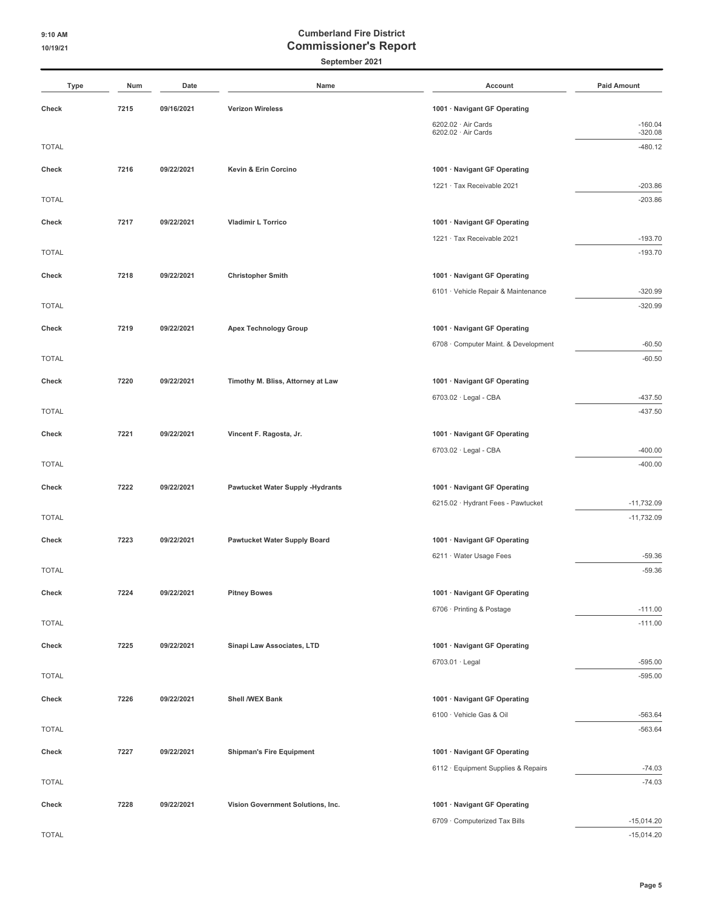**September 2021**

| Type         | Num  | Date       | Name                                    | Account                                                             | <b>Paid Amount</b>     |
|--------------|------|------------|-----------------------------------------|---------------------------------------------------------------------|------------------------|
| Check        | 7215 | 09/16/2021 | <b>Verizon Wireless</b>                 | 1001 · Navigant GF Operating                                        |                        |
|              |      |            |                                         | 6202.02 · Air Cards                                                 | $-160.04$              |
| <b>TOTAL</b> |      |            |                                         | 6202.02 · Air Cards                                                 | $-320.08$<br>$-480.12$ |
|              |      |            |                                         |                                                                     |                        |
| Check        | 7216 | 09/22/2021 | Kevin & Erin Corcino                    | 1001 · Navigant GF Operating                                        |                        |
| <b>TOTAL</b> |      |            |                                         | 1221 · Tax Receivable 2021                                          | $-203.86$<br>$-203.86$ |
|              |      |            |                                         |                                                                     |                        |
| Check        | 7217 | 09/22/2021 | <b>Vladimir L Torrico</b>               | 1001 · Navigant GF Operating<br>1221 · Tax Receivable 2021          | $-193.70$              |
| <b>TOTAL</b> |      |            |                                         |                                                                     | $-193.70$              |
|              |      |            |                                         |                                                                     |                        |
| Check        | 7218 | 09/22/2021 | <b>Christopher Smith</b>                | 1001 · Navigant GF Operating<br>6101 · Vehicle Repair & Maintenance | $-320.99$              |
| <b>TOTAL</b> |      |            |                                         |                                                                     | $-320.99$              |
| Check        | 7219 | 09/22/2021 | <b>Apex Technology Group</b>            | 1001 · Navigant GF Operating                                        |                        |
|              |      |            |                                         | 6708 · Computer Maint. & Development                                | $-60.50$               |
| <b>TOTAL</b> |      |            |                                         |                                                                     | $-60.50$               |
| Check        | 7220 | 09/22/2021 | Timothy M. Bliss, Attorney at Law       | 1001 · Navigant GF Operating                                        |                        |
|              |      |            |                                         | 6703.02 · Legal - CBA                                               | $-437.50$              |
| <b>TOTAL</b> |      |            |                                         |                                                                     | $-437.50$              |
| Check        | 7221 | 09/22/2021 | Vincent F. Ragosta, Jr.                 | 1001 · Navigant GF Operating                                        |                        |
|              |      |            |                                         | 6703.02 · Legal - CBA                                               | $-400.00$              |
| <b>TOTAL</b> |      |            |                                         |                                                                     | $-400.00$              |
| Check        | 7222 | 09/22/2021 | <b>Pawtucket Water Supply -Hydrants</b> | 1001 · Navigant GF Operating                                        |                        |
|              |      |            |                                         | 6215.02 · Hydrant Fees - Pawtucket                                  | $-11,732.09$           |
| <b>TOTAL</b> |      |            |                                         |                                                                     | $-11,732.09$           |
| Check        | 7223 | 09/22/2021 | <b>Pawtucket Water Supply Board</b>     | 1001 · Navigant GF Operating                                        |                        |
|              |      |            |                                         | 6211 · Water Usage Fees                                             | $-59.36$               |
| <b>TOTAL</b> |      |            |                                         |                                                                     | $-59.36$               |
| Check        | 7224 | 09/22/2021 | <b>Pitney Bowes</b>                     | 1001 · Navigant GF Operating                                        |                        |
|              |      |            |                                         | 6706 · Printing & Postage                                           | $-111.00$              |
| <b>TOTAL</b> |      |            |                                         |                                                                     | $-111.00$              |
| Check        | 7225 | 09/22/2021 | Sinapi Law Associates, LTD              | 1001 · Navigant GF Operating                                        |                        |
|              |      |            |                                         | 6703.01 · Legal                                                     | $-595.00$              |
| <b>TOTAL</b> |      |            |                                         |                                                                     | $-595.00$              |
| Check        | 7226 | 09/22/2021 | Shell /WEX Bank                         | 1001 · Navigant GF Operating                                        |                        |
|              |      |            |                                         | 6100 · Vehicle Gas & Oil                                            | $-563.64$              |
| <b>TOTAL</b> |      |            |                                         |                                                                     | $-563.64$              |
| Check        | 7227 | 09/22/2021 | <b>Shipman's Fire Equipment</b>         | 1001 · Navigant GF Operating                                        |                        |
|              |      |            |                                         | 6112 · Equipment Supplies & Repairs                                 | $-74.03$               |
| <b>TOTAL</b> |      |            |                                         |                                                                     | $-74.03$               |
| Check        | 7228 | 09/22/2021 | Vision Government Solutions, Inc.       | 1001 · Navigant GF Operating                                        |                        |
|              |      |            |                                         | 6709 · Computerized Tax Bills                                       | $-15,014.20$           |
| <b>TOTAL</b> |      |            |                                         |                                                                     | $-15,014.20$           |

**Page 5**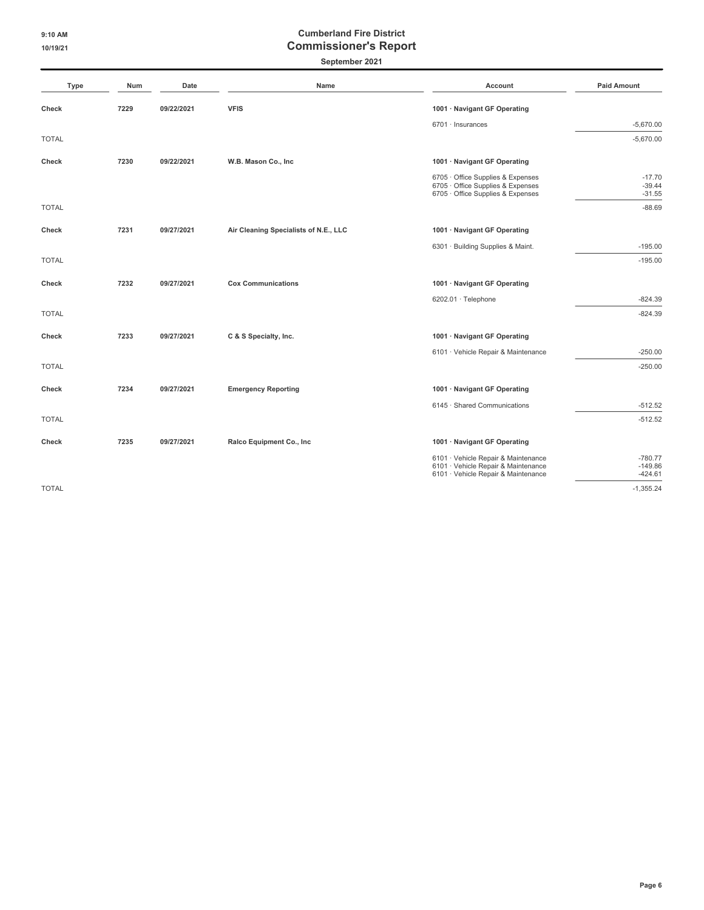**September 2021**

| Type         | Num  | Date       | Name                                  | <b>Account</b>                                                                                                    | <b>Paid Amount</b>                  |
|--------------|------|------------|---------------------------------------|-------------------------------------------------------------------------------------------------------------------|-------------------------------------|
| Check        | 7229 | 09/22/2021 | <b>VFIS</b>                           | 1001 · Navigant GF Operating                                                                                      |                                     |
|              |      |            |                                       | 6701 · Insurances                                                                                                 | $-5,670.00$                         |
| <b>TOTAL</b> |      |            |                                       |                                                                                                                   | $-5,670.00$                         |
| Check        | 7230 | 09/22/2021 | W.B. Mason Co., Inc                   | 1001 · Navigant GF Operating                                                                                      |                                     |
|              |      |            |                                       | 6705 · Office Supplies & Expenses<br>6705 Office Supplies & Expenses<br>6705 · Office Supplies & Expenses         | $-17.70$<br>$-39.44$<br>$-31.55$    |
| <b>TOTAL</b> |      |            |                                       |                                                                                                                   | $-88.69$                            |
| <b>Check</b> | 7231 | 09/27/2021 | Air Cleaning Specialists of N.E., LLC | 1001 · Navigant GF Operating                                                                                      |                                     |
|              |      |            |                                       | 6301 · Building Supplies & Maint.                                                                                 | $-195.00$                           |
| <b>TOTAL</b> |      |            |                                       |                                                                                                                   | $-195.00$                           |
| Check        | 7232 | 09/27/2021 | <b>Cox Communications</b>             | 1001 · Navigant GF Operating                                                                                      |                                     |
|              |      |            |                                       | 6202.01 · Telephone                                                                                               | $-824.39$                           |
| <b>TOTAL</b> |      |            |                                       |                                                                                                                   | $-824.39$                           |
| Check        | 7233 | 09/27/2021 | C & S Specialty, Inc.                 | 1001 · Navigant GF Operating                                                                                      |                                     |
|              |      |            |                                       | 6101 · Vehicle Repair & Maintenance                                                                               | $-250.00$                           |
| <b>TOTAL</b> |      |            |                                       |                                                                                                                   | $-250.00$                           |
| Check        | 7234 | 09/27/2021 | <b>Emergency Reporting</b>            | 1001 · Navigant GF Operating                                                                                      |                                     |
|              |      |            |                                       | 6145 · Shared Communications                                                                                      | $-512.52$                           |
| <b>TOTAL</b> |      |            |                                       |                                                                                                                   | $-512.52$                           |
| Check        | 7235 | 09/27/2021 | Ralco Equipment Co., Inc.             | 1001 · Navigant GF Operating                                                                                      |                                     |
|              |      |            |                                       | 6101 · Vehicle Repair & Maintenance<br>6101 · Vehicle Repair & Maintenance<br>6101 · Vehicle Repair & Maintenance | $-780.77$<br>$-149.86$<br>$-424.61$ |

TOTAL -1,355.24